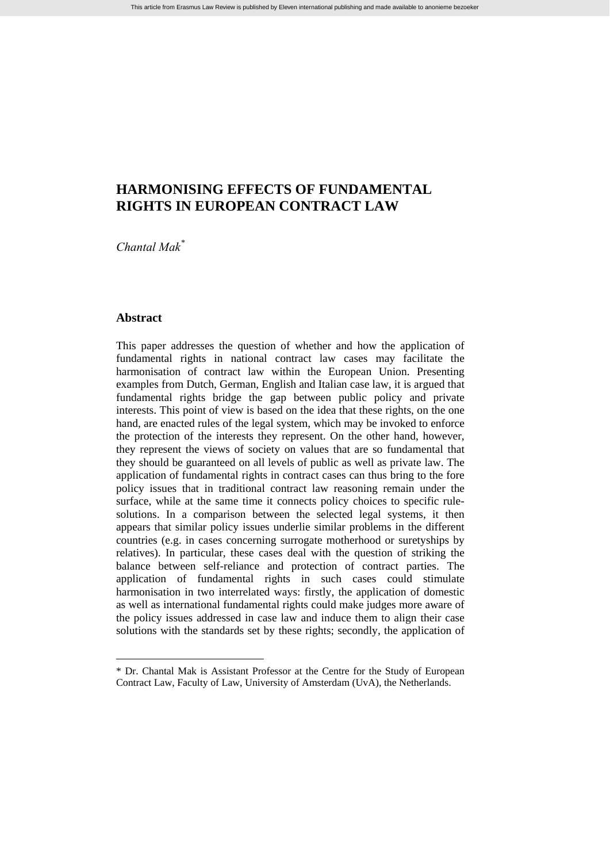# **HARMONISING EFFECTS OF FUNDAMENTAL RIGHTS IN EUROPEAN CONTRACT LAW**

*Chantal Mak*[\\*](#page-0-0)

# **Abstract**

 $\overline{a}$ 

This paper addresses the question of whether and how the application of fundamental rights in national contract law cases may facilitate the harmonisation of contract law within the European Union. Presenting examples from Dutch, German, English and Italian case law, it is argued that fundamental rights bridge the gap between public policy and private interests. This point of view is based on the idea that these rights, on the one hand, are enacted rules of the legal system, which may be invoked to enforce the protection of the interests they represent. On the other hand, however, they represent the views of society on values that are so fundamental that they should be guaranteed on all levels of public as well as private law. The application of fundamental rights in contract cases can thus bring to the fore policy issues that in traditional contract law reasoning remain under the surface, while at the same time it connects policy choices to specific rulesolutions. In a comparison between the selected legal systems, it then appears that similar policy issues underlie similar problems in the different countries (e.g. in cases concerning surrogate motherhood or suretyships by relatives). In particular, these cases deal with the question of striking the balance between self-reliance and protection of contract parties. The application of fundamental rights in such cases could stimulate harmonisation in two interrelated ways: firstly, the application of domestic as well as international fundamental rights could make judges more aware of the policy issues addressed in case law and induce them to align their case solutions with the standards set by these rights; secondly, the application of

<span id="page-0-0"></span><sup>\*</sup> Dr. Chantal Mak is Assistant Professor at the Centre for the Study of European Contract Law, Faculty of Law, University of Amsterdam (UvA), the Netherlands.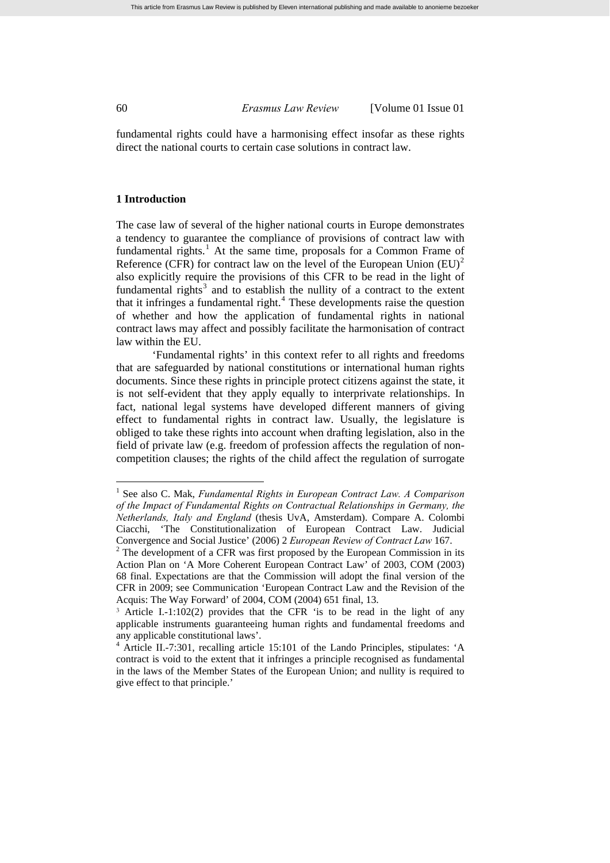fundamental rights could have a harmonising effect insofar as these rights direct the national courts to certain case solutions in contract law.

# **1 Introduction**

The case law of several of the higher national courts in Europe demonstrates a tendency to guarantee the compliance of provisions of contract law with fundamental rights.<sup>[1](#page-1-0)</sup> At the same time, proposals for a Common Frame of Reference (CFR) for contract law on the level of the European Union  $(EU)^2$  $(EU)^2$ also explicitly require the provisions of this CFR to be read in the light of fundamental rights<sup>[3](#page-1-2)</sup> and to establish the nullity of a contract to the extent that it infringes a fundamental right.<sup>[4](#page-1-3)</sup> These developments raise the question of whether and how the application of fundamental rights in national contract laws may affect and possibly facilitate the harmonisation of contract law within the EU.

'Fundamental rights' in this context refer to all rights and freedoms that are safeguarded by national constitutions or international human rights documents. Since these rights in principle protect citizens against the state, it is not self-evident that they apply equally to interprivate relationships. In fact, national legal systems have developed different manners of giving effect to fundamental rights in contract law. Usually, the legislature is obliged to take these rights into account when drafting legislation, also in the field of private law (e.g. freedom of profession affects the regulation of noncompetition clauses; the rights of the child affect the regulation of surrogate

<span id="page-1-0"></span><sup>&</sup>lt;sup>1</sup> See also C. Mak, *Fundamental Rights in European Contract Law. A Comparison of the Impact of Fundamental Rights on Contractual Relationships in Germany, the Netherlands, Italy and England* (thesis UvA, Amsterdam). Compare A. Colombi Ciacchi, 'The Constitutionalization of European Contract Law. Judicial Convergence and Social Justice' (2006) 2 *European Review of Contract Law* 167. 2

<span id="page-1-1"></span> $2^2$  The development of a CFR was first proposed by the European Commission in its Action Plan on 'A More Coherent European Contract Law' of 2003, COM (2003) 68 final. Expectations are that the Commission will adopt the final version of the CFR in 2009; see Communication 'European Contract Law and the Revision of the Acquis: The Way Forward' of 2004, COM (2004) 651 final, 13.

<span id="page-1-2"></span><sup>3</sup> Article I.-1:102(2) provides that the CFR 'is to be read in the light of any applicable instruments guaranteeing human rights and fundamental freedoms and any applicable constitutional laws'.

<span id="page-1-3"></span><sup>4</sup> Article II.-7:301, recalling article 15:101 of the Lando Principles, stipulates: 'A contract is void to the extent that it infringes a principle recognised as fundamental in the laws of the Member States of the European Union; and nullity is required to give effect to that principle.'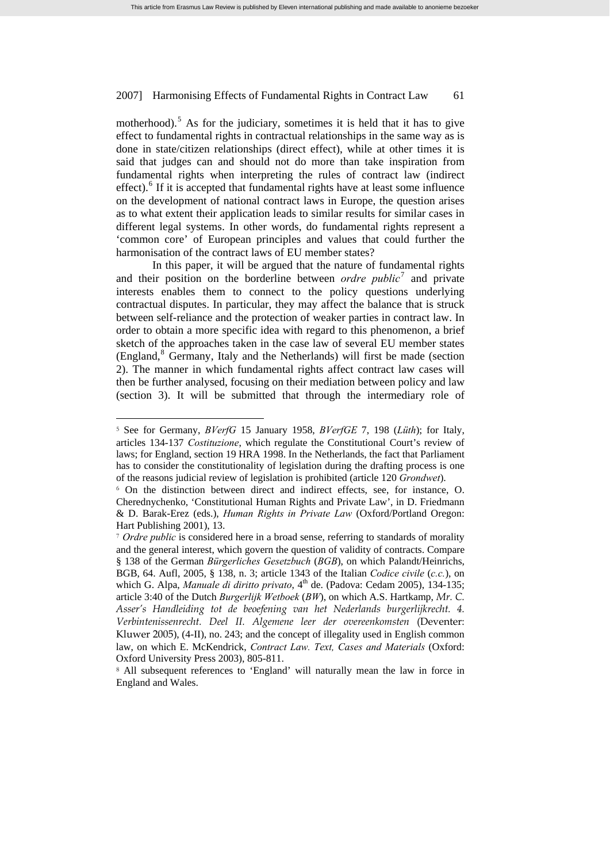motherhood).<sup>[5](#page-2-0)</sup> As for the judiciary, sometimes it is held that it has to give effect to fundamental rights in contractual relationships in the same way as is done in state/citizen relationships (direct effect), while at other times it is said that judges can and should not do more than take inspiration from fundamental rights when interpreting the rules of contract law (indirect effect).<sup>[6](#page-2-1)</sup> If it is accepted that fundamental rights have at least some influence on the development of national contract laws in Europe, the question arises as to what extent their application leads to similar results for similar cases in different legal systems. In other words, do fundamental rights represent a 'common core' of European principles and values that could further the harmonisation of the contract laws of EU member states?

In this paper, it will be argued that the nature of fundamental rights and their position on the borderline between *ordre public*<sup>[7](#page-2-2)</sup> and private interests enables them to connect to the policy questions underlying contractual disputes. In particular, they may affect the balance that is struck between self-reliance and the protection of weaker parties in contract law. In order to obtain a more specific idea with regard to this phenomenon, a brief sketch of the approaches taken in the case law of several EU member states (England,<sup>[8](#page-2-3)</sup> Germany, Italy and the Netherlands) will first be made (section 2). The manner in which fundamental rights affect contract law cases will then be further analysed, focusing on their mediation between policy and law (section 3). It will be submitted that through the intermediary role of

<span id="page-2-0"></span><sup>5</sup> See for Germany, *BVerfG* 15 January 1958, *BVerfGE* 7, 198 (*Lüth*); for Italy, articles 134-137 *Costituzione*, which regulate the Constitutional Court's review of laws; for England, section 19 HRA 1998. In the Netherlands, the fact that Parliament has to consider the constitutionality of legislation during the drafting process is one of the reasons judicial review of legislation is prohibited (article 120 *Grondwet*).

<span id="page-2-1"></span><sup>6</sup> On the distinction between direct and indirect effects, see, for instance, O. Cherednychenko, 'Constitutional Human Rights and Private Law', in D. Friedmann & D. Barak-Erez (eds.), *Human Rights in Private Law* (Oxford/Portland Oregon: Hart Publishing 2001), 13.

<span id="page-2-2"></span><sup>&</sup>lt;sup>7</sup> *Ordre public* is considered here in a broad sense, referring to standards of morality and the general interest, which govern the question of validity of contracts. Compare § 138 of the German *Bürgerliches Gesetzbuch* (*BGB*), on which Palandt/Heinrichs, BGB, 64. Aufl, 2005, § 138, n. 3; article 1343 of the Italian *Codice civile* (*c.c.*), on which G. Alpa, *Manuale di diritto privato*, 4<sup>th</sup> de. (Padova: Cedam 2005), 134-135; article 3:40 of the Dutch *Burgerlijk Wetboek* (*BW*), on which A.S. Hartkamp, *Mr. C. Asser's Handleiding tot de beoefening van het Nederlands burgerlijkrecht. 4. Verbintenissenrecht. Deel II. Algemene leer der overeenkomsten* (Deventer: Kluwer 2005), (4-II), no. 243; and the concept of illegality used in English common law, on which E. McKendrick, *Contract Law. Text, Cases and Materials* (Oxford: Oxford University Press 2003), 805-811.

<span id="page-2-3"></span><sup>8</sup> All subsequent references to 'England' will naturally mean the law in force in England and Wales.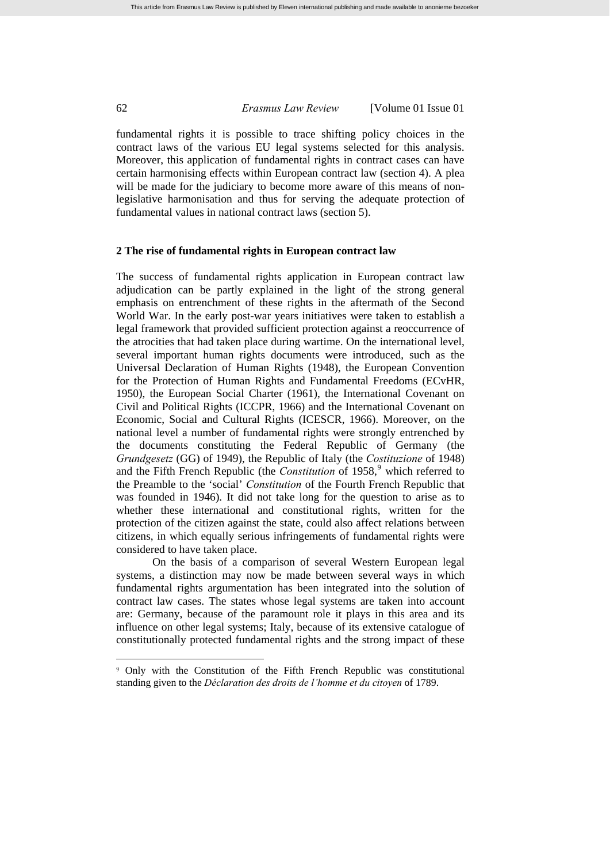fundamental rights it is possible to trace shifting policy choices in the contract laws of the various EU legal systems selected for this analysis. Moreover, this application of fundamental rights in contract cases can have certain harmonising effects within European contract law (section 4). A plea will be made for the judiciary to become more aware of this means of nonlegislative harmonisation and thus for serving the adequate protection of fundamental values in national contract laws (section 5).

## **2 The rise of fundamental rights in European contract law**

The success of fundamental rights application in European contract law adjudication can be partly explained in the light of the strong general emphasis on entrenchment of these rights in the aftermath of the Second World War. In the early post-war years initiatives were taken to establish a legal framework that provided sufficient protection against a reoccurrence of the atrocities that had taken place during wartime. On the international level, several important human rights documents were introduced, such as the Universal Declaration of Human Rights (1948), the European Convention for the Protection of Human Rights and Fundamental Freedoms (ECvHR, 1950), the European Social Charter (1961), the International Covenant on Civil and Political Rights (ICCPR, 1966) and the International Covenant on Economic, Social and Cultural Rights (ICESCR, 1966). Moreover, on the national level a number of fundamental rights were strongly entrenched by the documents constituting the Federal Republic of Germany (the *Grundgesetz* (GG) of 1949), the Republic of Italy (the *Costituzione* of 1948) and the Fifth French Republic (the *Constitution* of 1[9](#page-3-0)58,<sup>9</sup> which referred to the Preamble to the 'social' *Constitution* of the Fourth French Republic that was founded in 1946). It did not take long for the question to arise as to whether these international and constitutional rights, written for the protection of the citizen against the state, could also affect relations between citizens, in which equally serious infringements of fundamental rights were considered to have taken place.

On the basis of a comparison of several Western European legal systems, a distinction may now be made between several ways in which fundamental rights argumentation has been integrated into the solution of contract law cases. The states whose legal systems are taken into account are: Germany, because of the paramount role it plays in this area and its influence on other legal systems; Italy, because of its extensive catalogue of constitutionally protected fundamental rights and the strong impact of these

<span id="page-3-0"></span><sup>9</sup> Only with the Constitution of the Fifth French Republic was constitutional standing given to the *Déclaration des droits de l'homme et du citoyen* of 1789.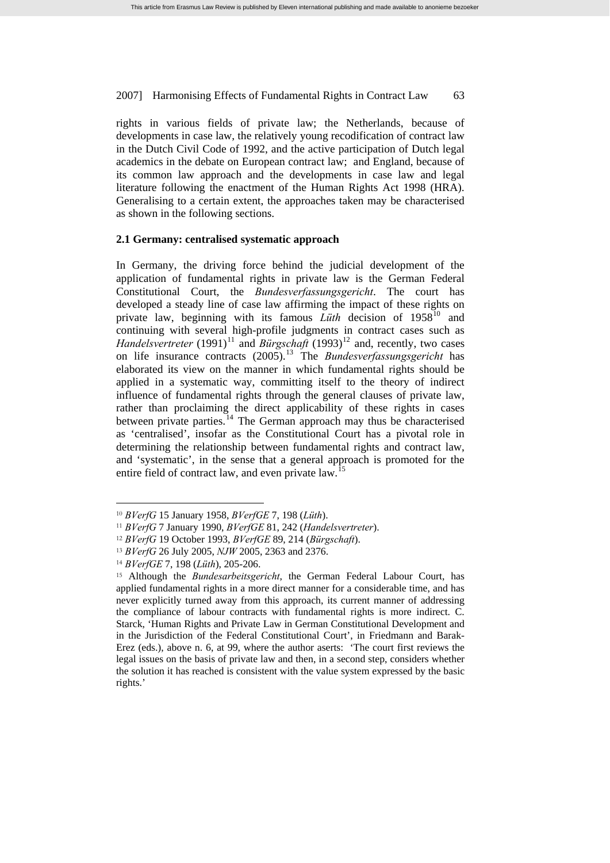rights in various fields of private law; the Netherlands, because of developments in case law, the relatively young recodification of contract law in the Dutch Civil Code of 1992, and the active participation of Dutch legal academics in the debate on European contract law; and England, because of its common law approach and the developments in case law and legal literature following the enactment of the Human Rights Act 1998 (HRA). Generalising to a certain extent, the approaches taken may be characterised as shown in the following sections.

### **2.1 Germany: centralised systematic approach**

In Germany, the driving force behind the judicial development of the application of fundamental rights in private law is the German Federal Constitutional Court, the *Bundesverfassungsgericht*. The court has developed a steady line of case law affirming the impact of these rights on private law, beginning with its famous *Lüth* decision of 1958<sup>[10](#page-4-0)</sup> and continuing with several high-profile judgments in contract cases such as *Handelsvertreter* (1991)<sup>[11](#page-4-1)</sup> and *Bürgschaft* (1993)<sup>[12](#page-4-2)</sup> and, recently, two cases on life insurance contracts (2005).[13](#page-4-3) The *Bundesverfassungsgericht* has elaborated its view on the manner in which fundamental rights should be applied in a systematic way, committing itself to the theory of indirect influence of fundamental rights through the general clauses of private law, rather than proclaiming the direct applicability of these rights in cases between private parties.<sup>[14](#page-4-4)</sup> The German approach may thus be characterised as 'centralised', insofar as the Constitutional Court has a pivotal role in determining the relationship between fundamental rights and contract law, and 'systematic', in the sense that a general approach is promoted for the entire field of contract law, and even private law.<sup>[15](#page-4-5)</sup>

<span id="page-4-0"></span><sup>10</sup> *BVerfG* 15 January 1958, *BVerfGE* 7, 198 (*Lüth*).

<span id="page-4-1"></span><sup>11</sup> *BVerfG* 7 January 1990, *BVerfGE* 81, 242 (*Handelsvertreter*).

<span id="page-4-2"></span><sup>12</sup> *BVerfG* 19 October 1993, *BVerfGE* 89, 214 (*Bürgschaft*).

<span id="page-4-3"></span><sup>13</sup> *BVerfG* 26 July 2005, *NJW* 2005, 2363 and 2376.

<span id="page-4-4"></span><sup>14</sup> *BVerfGE* 7, 198 (*Lüth*), 205-206.

<span id="page-4-5"></span><sup>15</sup> Although the *Bundesarbeitsgericht*, the German Federal Labour Court, has applied fundamental rights in a more direct manner for a considerable time, and has never explicitly turned away from this approach, its current manner of addressing the compliance of labour contracts with fundamental rights is more indirect. C. Starck, 'Human Rights and Private Law in German Constitutional Development and in the Jurisdiction of the Federal Constitutional Court', in Friedmann and Barak-Erez (eds.), above n. 6, at 99, where the author aserts: 'The court first reviews the legal issues on the basis of private law and then, in a second step, considers whether the solution it has reached is consistent with the value system expressed by the basic rights.'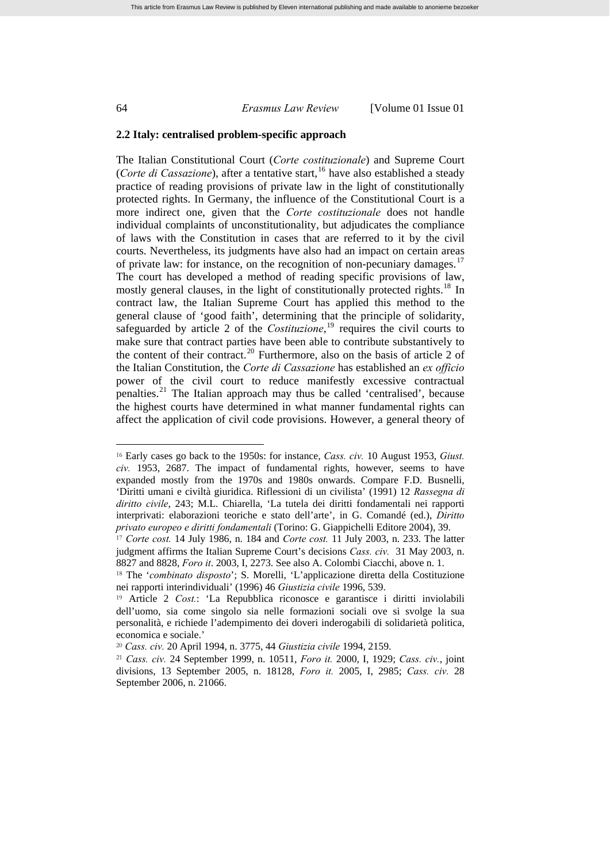$\overline{a}$ 

### 64 *Erasmus Law Review* [Volume 01 Issue 01

### **2.2 Italy: centralised problem-specific approach**

The Italian Constitutional Court (*Corte costituzionale*) and Supreme Court (*Corte di Cassazione*), after a tentative start,<sup>[16](#page-5-0)</sup> have also established a steady practice of reading provisions of private law in the light of constitutionally protected rights. In Germany, the influence of the Constitutional Court is a more indirect one, given that the *Corte costituzionale* does not handle individual complaints of unconstitutionality, but adjudicates the compliance of laws with the Constitution in cases that are referred to it by the civil courts. Nevertheless, its judgments have also had an impact on certain areas of private law: for instance, on the recognition of non-pecuniary damages.<sup>[17](#page-5-1)</sup> The court has developed a method of reading specific provisions of law, mostly general clauses, in the light of constitutionally protected rights.<sup>[18](#page-5-2)</sup> In contract law, the Italian Supreme Court has applied this method to the general clause of 'good faith', determining that the principle of solidarity, safeguarded by article 2 of the *Costituzione*,<sup>[19](#page-5-3)</sup> requires the civil courts to make sure that contract parties have been able to contribute substantively to the content of their contract.<sup>[20](#page-5-4)</sup> Furthermore, also on the basis of article 2 of the Italian Constitution, the *Corte di Cassazione* has established an *ex officio* power of the civil court to reduce manifestly excessive contractual penalties.[21](#page-5-5) The Italian approach may thus be called 'centralised', because the highest courts have determined in what manner fundamental rights can affect the application of civil code provisions. However, a general theory of

<span id="page-5-0"></span><sup>16</sup> Early cases go back to the 1950s: for instance, *Cass. civ.* 10 August 1953, *Giust. civ.* 1953, 2687. The impact of fundamental rights, however, seems to have expanded mostly from the 1970s and 1980s onwards. Compare F.D. Busnelli, 'Diritti umani e civiltà giuridica. Riflessioni di un civilista' (1991) 12 *Rassegna di diritto civile*, 243; M.L. Chiarella, 'La tutela dei diritti fondamentali nei rapporti interprivati: elaborazioni teoriche e stato dell'arte', in G. Comandé (ed.), *Diritto privato europeo e diritti fondamentali* (Torino: G. Giappichelli Editore 2004), 39.

<span id="page-5-1"></span><sup>17</sup> *Corte cost.* 14 July 1986, n. 184 and *Corte cost.* 11 July 2003, n. 233. The latter judgment affirms the Italian Supreme Court's decisions *Cass. civ.* 31 May 2003, n. 8827 and 8828, *Foro it*. 2003, I, 2273. See also A. Colombi Ciacchi, above n. 1.

<span id="page-5-2"></span><sup>18</sup> The '*combinato disposto*'; S. Morelli, 'L'applicazione diretta della Costituzione nei rapporti interindividuali' (1996) 46 *Giustizia civile* 1996, 539.

<span id="page-5-3"></span><sup>19</sup> Article 2 *Cost.*: 'La Repubblica riconosce e garantisce i diritti inviolabili dell'uomo, sia come singolo sia nelle formazioni sociali ove si svolge la sua personalità, e richiede l'adempimento dei doveri inderogabili di solidarietà politica, economica e sociale.'

<span id="page-5-4"></span><sup>20</sup> *Cass. civ.* 20 April 1994, n. 3775, 44 *Giustizia civile* 1994, 2159.

<span id="page-5-5"></span><sup>21</sup> *Cass. civ.* 24 September 1999, n. 10511, *Foro it.* 2000, I, 1929; *Cass. civ.*, joint divisions, 13 September 2005, n. 18128, *Foro it.* 2005, I, 2985; *Cass. civ.* 28 September 2006, n. 21066.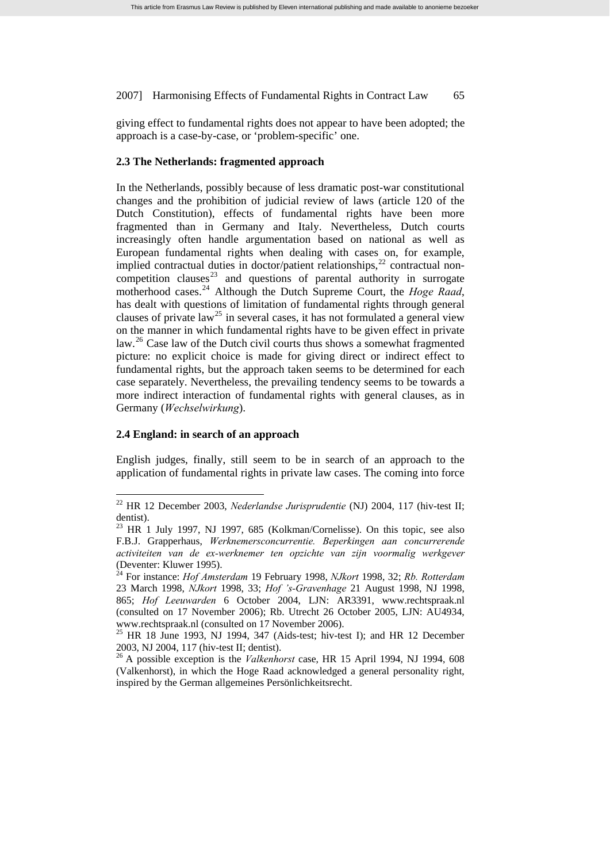giving effect to fundamental rights does not appear to have been adopted; the approach is a case-by-case, or 'problem-specific' one.

### **2.3 The Netherlands: fragmented approach**

In the Netherlands, possibly because of less dramatic post-war constitutional changes and the prohibition of judicial review of laws (article 120 of the Dutch Constitution), effects of fundamental rights have been more fragmented than in Germany and Italy. Nevertheless, Dutch courts increasingly often handle argumentation based on national as well as European fundamental rights when dealing with cases on, for example, implied contractual duties in doctor/patient relationships, $^{22}$  $^{22}$  $^{22}$  contractual non-competition clauses<sup>[23](#page-6-1)</sup> and questions of parental authority in surrogate motherhood cases.<sup>[24](#page-6-2)</sup> Although the Dutch Supreme Court, the *Hoge Raad*, has dealt with questions of limitation of fundamental rights through general clauses of private law<sup>[25](#page-6-3)</sup> in several cases, it has not formulated a general view on the manner in which fundamental rights have to be given effect in private law.<sup>[26](#page-6-4)</sup> Case law of the Dutch civil courts thus shows a somewhat fragmented picture: no explicit choice is made for giving direct or indirect effect to fundamental rights, but the approach taken seems to be determined for each case separately. Nevertheless, the prevailing tendency seems to be towards a more indirect interaction of fundamental rights with general clauses, as in Germany (*Wechselwirkung*).

### **2.4 England: in search of an approach**

 $\overline{a}$ 

English judges, finally, still seem to be in search of an approach to the application of fundamental rights in private law cases. The coming into force

<span id="page-6-0"></span><sup>22</sup> HR 12 December 2003, *Nederlandse Jurisprudentie* (NJ) 2004, 117 (hiv-test II; dentist).

<span id="page-6-1"></span> $23$  HR 1 July 1997, NJ 1997, 685 (Kolkman/Cornelisse). On this topic, see also F.B.J. Grapperhaus, *Werknemersconcurrentie. Beperkingen aan concurrerende activiteiten van de ex-werknemer ten opzichte van zijn voormalig werkgever* (Deventer: Kluwer 1995).

<span id="page-6-2"></span><sup>24</sup> For instance: *Hof Amsterdam* 19 February 1998, *NJkort* 1998, 32; *Rb. Rotterdam* 23 March 1998, *NJkort* 1998, 33; *Hof 's-Gravenhage* 21 August 1998, NJ 1998, 865; *Hof Leeuwarden* 6 October 2004, LJN: AR3391, www.rechtspraak.nl (consulted on 17 November 2006); Rb. Utrecht 26 October 2005, LJN: AU4934, www.rechtspraak.nl (consulted on 17 November 2006).

<span id="page-6-3"></span><sup>&</sup>lt;sup>25</sup> HR 18 June 1993, NJ 1994, 347 (Aids-test; hiv-test I); and HR 12 December 2003, NJ 2004, 117 (hiv-test II; dentist).

<span id="page-6-4"></span><sup>26</sup> A possible exception is the *Valkenhorst* case, HR 15 April 1994, NJ 1994, 608 (Valkenhorst), in which the Hoge Raad acknowledged a general personality right, inspired by the German allgemeines Persönlichkeitsrecht.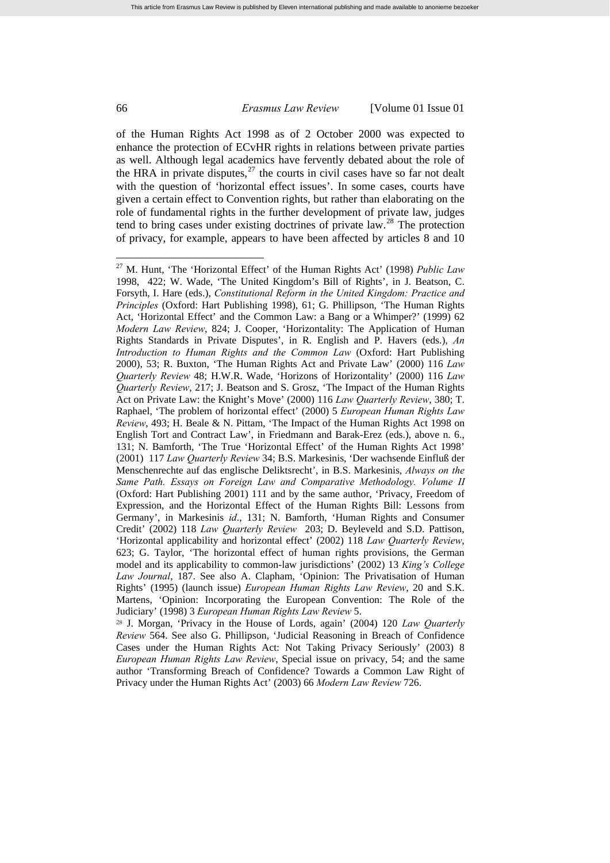of the Human Rights Act 1998 as of 2 October 2000 was expected to enhance the protection of ECvHR rights in relations between private parties as well. Although legal academics have fervently debated about the role of the HRA in private disputes, $^{27}$  $^{27}$  $^{27}$  the courts in civil cases have so far not dealt with the question of 'horizontal effect issues'. In some cases, courts have given a certain effect to Convention rights, but rather than elaborating on the role of fundamental rights in the further development of private law, judges tend to bring cases under existing doctrines of private law.<sup>[28](#page-7-1)</sup> The protection of privacy, for example, appears to have been affected by articles 8 and 10

<span id="page-7-1"></span><sup>28</sup> J. Morgan, 'Privacy in the House of Lords, again' (2004) 120 *Law Quarterly Review* 564. See also G. Phillipson, 'Judicial Reasoning in Breach of Confidence Cases under the Human Rights Act: Not Taking Privacy Seriously' (2003) 8 *European Human Rights Law Review*, Special issue on privacy, 54; and the same author 'Transforming Breach of Confidence? Towards a Common Law Right of Privacy under the Human Rights Act' (2003) 66 *Modern Law Review* 726.

<span id="page-7-0"></span><sup>27</sup> M. Hunt, 'The 'Horizontal Effect' of the Human Rights Act' (1998) *Public Law* 1998, 422; W. Wade, 'The United Kingdom's Bill of Rights', in J. Beatson, C. Forsyth, I. Hare (eds.), *Constitutional Reform in the United Kingdom: Practice and Principles* (Oxford: Hart Publishing 1998), 61; G. Phillipson, 'The Human Rights Act, 'Horizontal Effect' and the Common Law: a Bang or a Whimper?' (1999) 62 *Modern Law Review*, 824; J. Cooper, 'Horizontality: The Application of Human Rights Standards in Private Disputes', in R. English and P. Havers (eds.), *An Introduction to Human Rights and the Common Law* (Oxford: Hart Publishing 2000), 53; R. Buxton, 'The Human Rights Act and Private Law' (2000) 116 *Law Quarterly Review* 48; H.W.R. Wade, 'Horizons of Horizontality' (2000) 116 *Law Quarterly Review*, 217; J. Beatson and S. Grosz, 'The Impact of the Human Rights Act on Private Law: the Knight's Move' (2000) 116 *Law Quarterly Review*, 380; T. Raphael, 'The problem of horizontal effect' (2000) 5 *European Human Rights Law Review*, 493; H. Beale & N. Pittam, 'The Impact of the Human Rights Act 1998 on English Tort and Contract Law', in Friedmann and Barak-Erez (eds.), above n. 6., 131; N. Bamforth, 'The True 'Horizontal Effect' of the Human Rights Act 1998' (2001) 117 *Law Quarterly Review* 34; B.S. Markesinis, 'Der wachsende Einfluß der Menschenrechte auf das englische Deliktsrecht', in B.S. Markesinis, *Always on the Same Path. Essays on Foreign Law and Comparative Methodology. Volume II* (Oxford: Hart Publishing 2001) 111 and by the same author, 'Privacy, Freedom of Expression, and the Horizontal Effect of the Human Rights Bill: Lessons from Germany', in Markesinis *id*., 131; N. Bamforth, 'Human Rights and Consumer Credit' (2002) 118 *Law Quarterly Review* 203; D. Beyleveld and S.D. Pattison, 'Horizontal applicability and horizontal effect' (2002) 118 *Law Quarterly Review*, 623; G. Taylor, 'The horizontal effect of human rights provisions, the German model and its applicability to common-law jurisdictions' (2002) 13 *King's College Law Journal*, 187. See also A. Clapham, 'Opinion: The Privatisation of Human Rights' (1995) (launch issue) *European Human Rights Law Review*, 20 and S.K. Martens, 'Opinion: Incorporating the European Convention: The Role of the Judiciary' (1998) 3 *European Human Rights Law Review* 5.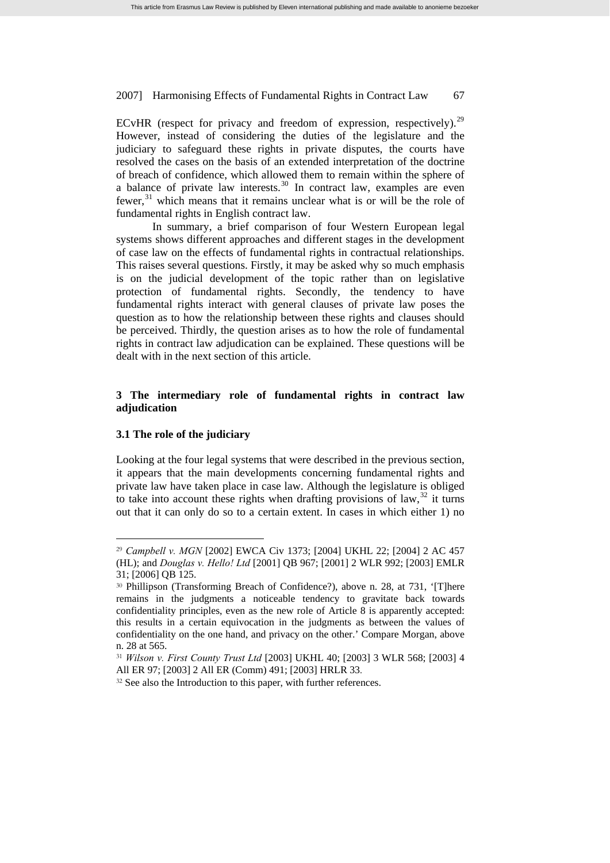ECvHR (respect for privacy and freedom of expression, respectively).<sup>[29](#page-8-0)</sup> However, instead of considering the duties of the legislature and the judiciary to safeguard these rights in private disputes, the courts have resolved the cases on the basis of an extended interpretation of the doctrine of breach of confidence, which allowed them to remain within the sphere of a balance of private law interests.[30](#page-8-1) In contract law, examples are even fewer,<sup>[31](#page-8-2)</sup> which means that it remains unclear what is or will be the role of fundamental rights in English contract law.

In summary, a brief comparison of four Western European legal systems shows different approaches and different stages in the development of case law on the effects of fundamental rights in contractual relationships. This raises several questions. Firstly, it may be asked why so much emphasis is on the judicial development of the topic rather than on legislative protection of fundamental rights. Secondly, the tendency to have fundamental rights interact with general clauses of private law poses the question as to how the relationship between these rights and clauses should be perceived. Thirdly, the question arises as to how the role of fundamental rights in contract law adjudication can be explained. These questions will be dealt with in the next section of this article.

# **3 The intermediary role of fundamental rights in contract law adjudication**

# **3.1 The role of the judiciary**

 $\overline{a}$ 

Looking at the four legal systems that were described in the previous section, it appears that the main developments concerning fundamental rights and private law have taken place in case law. Although the legislature is obliged to take into account these rights when drafting provisions of law,  $32$  it turns out that it can only do so to a certain extent. In cases in which either 1) no

<span id="page-8-0"></span><sup>29</sup> *Campbell v. MGN* [2002] EWCA Civ 1373; [2004] UKHL 22; [2004] 2 AC 457 (HL); and *Douglas v. Hello! Ltd* [2001] QB 967; [2001] 2 WLR 992; [2003] EMLR 31; [2006] QB 125.

<span id="page-8-1"></span><sup>30</sup> Phillipson (Transforming Breach of Confidence?), above n. 28, at 731, '[T]here remains in the judgments a noticeable tendency to gravitate back towards confidentiality principles, even as the new role of Article 8 is apparently accepted: this results in a certain equivocation in the judgments as between the values of confidentiality on the one hand, and privacy on the other.' Compare Morgan, above n. 28 at 565.

<span id="page-8-2"></span><sup>31</sup> *Wilson v. First County Trust Ltd* [2003] UKHL 40; [2003] 3 WLR 568; [2003] 4 All ER 97; [2003] 2 All ER (Comm) 491; [2003] HRLR 33.<br><sup>32</sup> See also the Introduction to this paper, with further references.

<span id="page-8-3"></span>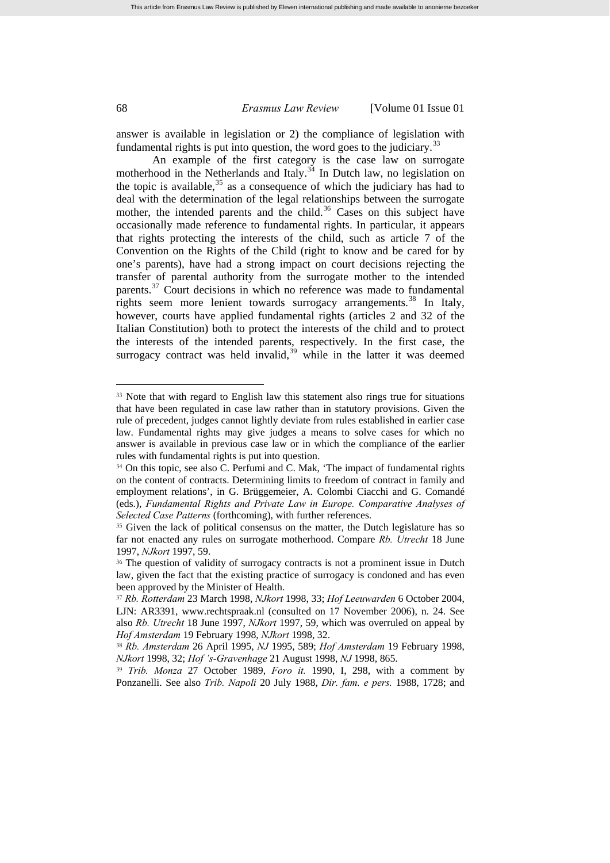answer is available in legislation or 2) the compliance of legislation with fundamental rights is put into question, the word goes to the judiciary.<sup>3</sup>

An example of the first category is the case law on surrogate motherhood in the Netherlands and Italy. $34$  In Dutch law, no legislation on the topic is available,  $35$  as a consequence of which the judiciary has had to deal with the determination of the legal relationships between the surrogate mother, the intended parents and the child.<sup>[36](#page-9-3)</sup> Cases on this subject have occasionally made reference to fundamental rights. In particular, it appears that rights protecting the interests of the child, such as article 7 of the Convention on the Rights of the Child (right to know and be cared for by one's parents), have had a strong impact on court decisions rejecting the transfer of parental authority from the surrogate mother to the intended parents.<sup>[37](#page-9-4)</sup> Court decisions in which no reference was made to fundamental rights seem more lenient towards surrogacy arrangements.<sup>[38](#page-9-5)</sup> In Italy, however, courts have applied fundamental rights (articles 2 and 32 of the Italian Constitution) both to protect the interests of the child and to protect the interests of the intended parents, respectively. In the first case, the surrogacy contract was held invalid,  $39$  while in the latter it was deemed

<span id="page-9-0"></span><sup>&</sup>lt;sup>33</sup> Note that with regard to English law this statement also rings true for situations that have been regulated in case law rather than in statutory provisions. Given the rule of precedent, judges cannot lightly deviate from rules established in earlier case law. Fundamental rights may give judges a means to solve cases for which no answer is available in previous case law or in which the compliance of the earlier rules with fundamental rights is put into question.

<span id="page-9-1"></span><sup>34</sup> On this topic, see also C. Perfumi and C. Mak, 'The impact of fundamental rights on the content of contracts. Determining limits to freedom of contract in family and employment relations', in G. Brüggemeier, A. Colombi Ciacchi and G. Comandé (eds.), *Fundamental Rights and Private Law in Europe. Comparative Analyses of Selected Case Patterns* (forthcoming), with further references.

<span id="page-9-2"></span><sup>&</sup>lt;sup>35</sup> Given the lack of political consensus on the matter, the Dutch legislature has so far not enacted any rules on surrogate motherhood. Compare *Rb. Utrecht* 18 June 1997, *NJkort* 1997, 59.

<span id="page-9-3"></span><sup>36</sup> The question of validity of surrogacy contracts is not a prominent issue in Dutch law, given the fact that the existing practice of surrogacy is condoned and has even been approved by the Minister of Health.

<span id="page-9-4"></span><sup>37</sup> *Rb. Rotterdam* 23 March 1998, *NJkort* 1998, 33; *Hof Leeuwarden* 6 October 2004, LJN: AR3391, www.rechtspraak.nl (consulted on 17 November 2006), n. 24. See also *Rb. Utrecht* 18 June 1997, *NJkort* 1997, 59, which was overruled on appeal by *Hof Amsterdam* 19 February 1998, *NJkort* 1998, 32.

<span id="page-9-5"></span><sup>38</sup> *Rb. Amsterdam* 26 April 1995, *NJ* 1995, 589; *Hof Amsterdam* 19 February 1998, *NJkort* 1998, 32; *Hof 's-Gravenhage* 21 August 1998, *NJ* 1998, 865.

<span id="page-9-6"></span><sup>39</sup> *Trib. Monza* 27 October 1989, *Foro it.* 1990, I, 298, with a comment by Ponzanelli. See also *Trib. Napoli* 20 July 1988, *Dir. fam. e pers.* 1988, 1728; and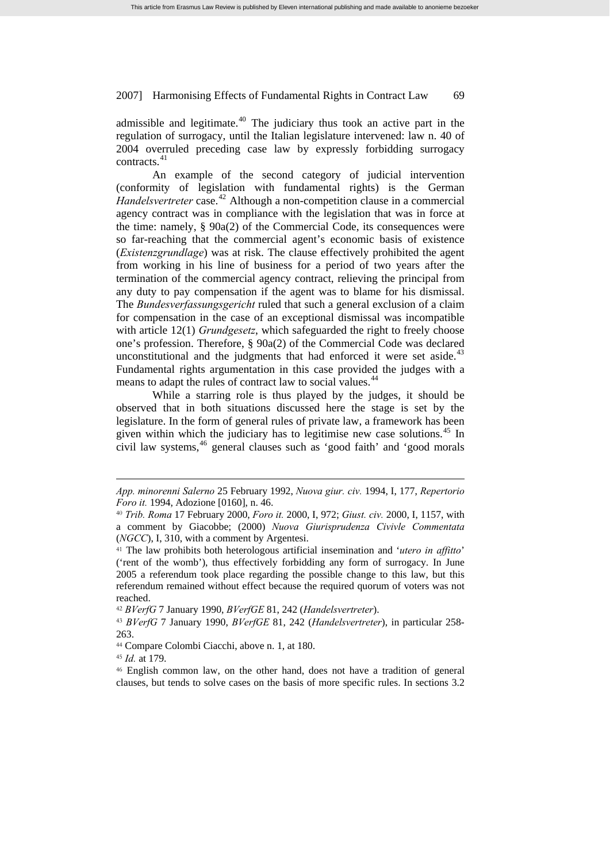admissible and legitimate.<sup> $40$ </sup> The judiciary thus took an active part in the regulation of surrogacy, until the Italian legislature intervened: law n. 40 of 2004 overruled preceding case law by expressly forbidding surrogacy contracts.[41](#page-10-1)

An example of the second category of judicial intervention (conformity of legislation with fundamental rights) is the German *Handelsvertreter* case.<sup>[42](#page-10-2)</sup> Although a non-competition clause in a commercial agency contract was in compliance with the legislation that was in force at the time: namely, § 90a(2) of the Commercial Code, its consequences were so far-reaching that the commercial agent's economic basis of existence (*Existenzgrundlage*) was at risk. The clause effectively prohibited the agent from working in his line of business for a period of two years after the termination of the commercial agency contract, relieving the principal from any duty to pay compensation if the agent was to blame for his dismissal. The *Bundesverfassungsgericht* ruled that such a general exclusion of a claim for compensation in the case of an exceptional dismissal was incompatible with article 12(1) *Grundgesetz*, which safeguarded the right to freely choose one's profession. Therefore, § 90a(2) of the Commercial Code was declared unconstitutional and the judgments that had enforced it were set aside. $43$ Fundamental rights argumentation in this case provided the judges with a means to adapt the rules of contract law to social values.<sup>[44](#page-10-4)</sup>

While a starring role is thus played by the judges, it should be observed that in both situations discussed here the stage is set by the legislature. In the form of general rules of private law, a framework has been given within which the judiciary has to legitimise new case solutions.<sup>[45](#page-10-5)</sup> In civil law systems,<sup>[46](#page-10-6)</sup> general clauses such as 'good faith' and 'good morals

<span id="page-10-2"></span><sup>42</sup> *BVerfG* 7 January 1990, *BVerfGE* 81, 242 (*Handelsvertreter*).

<span id="page-10-3"></span><sup>43</sup> *BVerfG* 7 January 1990, *BVerfGE* 81, 242 (*Handelsvertreter*), in particular 258- 263.

<sup>45</sup> *Id.* at 179.

 $\overline{a}$ 

<span id="page-10-6"></span><span id="page-10-5"></span><sup>46</sup> English common law, on the other hand, does not have a tradition of general clauses, but tends to solve cases on the basis of more specific rules. In sections 3.2

*App. minorenni Salerno* 25 February 1992, *Nuova giur. civ.* 1994, I, 177, *Repertorio Foro it.* 1994, Adozione [0160], n. 46.

<span id="page-10-0"></span><sup>40</sup> *Trib. Roma* 17 February 2000, *Foro it.* 2000, I, 972; *Giust. civ.* 2000, I, 1157, with a comment by Giacobbe; (2000) *Nuova Giurisprudenza Civivle Commentata* (*NGCC*), I, 310, with a comment by Argentesi.

<span id="page-10-1"></span><sup>41</sup> The law prohibits both heterologous artificial insemination and '*utero in affitto*' ('rent of the womb'), thus effectively forbidding any form of surrogacy. In June 2005 a referendum took place regarding the possible change to this law, but this referendum remained without effect because the required quorum of voters was not reached.

<span id="page-10-4"></span><sup>44</sup> Compare Colombi Ciacchi, above n. 1, at 180.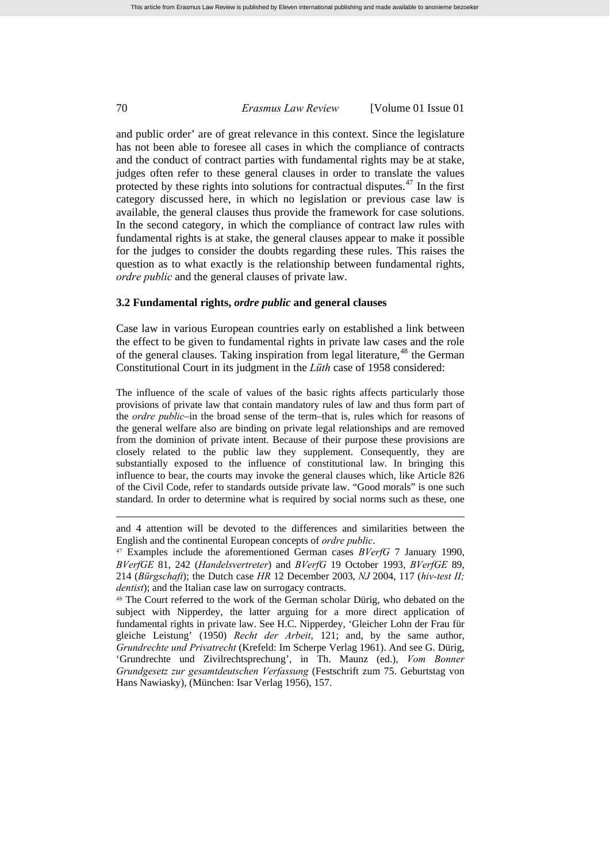and public order' are of great relevance in this context. Since the legislature has not been able to foresee all cases in which the compliance of contracts and the conduct of contract parties with fundamental rights may be at stake, judges often refer to these general clauses in order to translate the values protected by these rights into solutions for contractual disputes.<sup>[47](#page-11-0)</sup> In the first category discussed here, in which no legislation or previous case law is available, the general clauses thus provide the framework for case solutions. In the second category, in which the compliance of contract law rules with fundamental rights is at stake, the general clauses appear to make it possible for the judges to consider the doubts regarding these rules. This raises the question as to what exactly is the relationship between fundamental rights, *ordre public* and the general clauses of private law.

### **3.2 Fundamental rights,** *ordre public* **and general clauses**

Case law in various European countries early on established a link between the effect to be given to fundamental rights in private law cases and the role of the general clauses. Taking inspiration from legal literature, <sup>[48](#page-11-1)</sup> the German Constitutional Court in its judgment in the *Lüth* case of 1958 considered:

The influence of the scale of values of the basic rights affects particularly those provisions of private law that contain mandatory rules of law and thus form part of the *ordre public*–in the broad sense of the term–that is, rules which for reasons of the general welfare also are binding on private legal relationships and are removed from the dominion of private intent. Because of their purpose these provisions are closely related to the public law they supplement. Consequently, they are substantially exposed to the influence of constitutional law. In bringing this influence to bear, the courts may invoke the general clauses which, like Article 826 of the Civil Code, refer to standards outside private law. "Good morals" is one such standard. In order to determine what is required by social norms such as these, one

and 4 attention will be devoted to the differences and similarities between the English and the continental European concepts of *ordre public*.

<span id="page-11-0"></span><sup>47</sup> Examples include the aforementioned German cases *BVerfG* 7 January 1990, *BVerfGE* 81, 242 (*Handelsvertreter*) and *BVerfG* 19 October 1993, *BVerfGE* 89, 214 (*Bürgschaft*); the Dutch case *HR* 12 December 2003, *NJ* 2004, 117 (*hiv-test II; dentist*); and the Italian case law on surrogacy contracts.

<span id="page-11-1"></span><sup>48</sup> The Court referred to the work of the German scholar Dürig, who debated on the subject with Nipperdey, the latter arguing for a more direct application of fundamental rights in private law. See H.C. Nipperdey, 'Gleicher Lohn der Frau für gleiche Leistung' (1950) *Recht der Arbeit*, 121; and, by the same author, *Grundrechte und Privatrecht* (Krefeld: Im Scherpe Verlag 1961). And see G. Dürig, 'Grundrechte und Zivilrechtsprechung', in Th. Maunz (ed.), *Vom Bonner Grundgesetz zur gesamtdeutschen Verfassung* (Festschrift zum 75. Geburtstag von Hans Nawiasky), (München: Isar Verlag 1956), 157.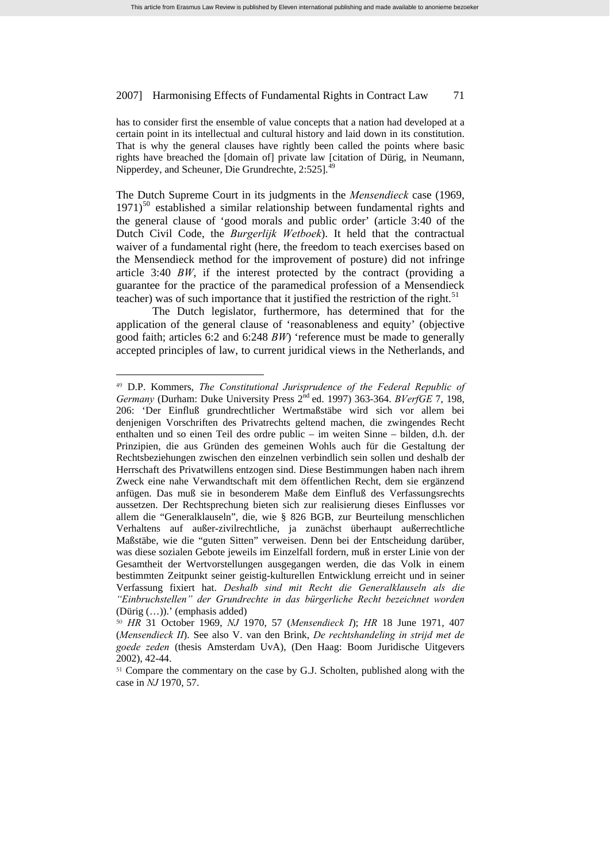has to consider first the ensemble of value concepts that a nation had developed at a certain point in its intellectual and cultural history and laid down in its constitution. That is why the general clauses have rightly been called the points where basic rights have breached the [domain of] private law [citation of Dürig, in Neumann, Nipperdey, and Scheuner, Die Grundrechte, 2:525].

The Dutch Supreme Court in its judgments in the *Mensendieck* case (1969,  $1971$ <sup>[50](#page-12-1)</sup> established a similar relationship between fundamental rights and the general clause of 'good morals and public order' (article 3:40 of the Dutch Civil Code, the *Burgerlijk Wetboek*). It held that the contractual waiver of a fundamental right (here, the freedom to teach exercises based on the Mensendieck method for the improvement of posture) did not infringe article 3:40 *BW*, if the interest protected by the contract (providing a guarantee for the practice of the paramedical profession of a Mensendieck teacher) was of such importance that it justified the restriction of the right.<sup>[51](#page-12-2)</sup>

The Dutch legislator, furthermore, has determined that for the application of the general clause of 'reasonableness and equity' (objective good faith; articles 6:2 and 6:248 *BW*) 'reference must be made to generally accepted principles of law, to current juridical views in the Netherlands, and

<span id="page-12-0"></span><sup>49</sup> D.P. Kommers, *The Constitutional Jurisprudence of the Federal Republic of Germany* (Durham: Duke University Press 2<sup>nd</sup> ed. 1997) 363-364. *BVerfGE* 7, 198, 206: 'Der Einfluß grundrechtlicher Wertmaßstäbe wird sich vor allem bei denjenigen Vorschriften des Privatrechts geltend machen, die zwingendes Recht enthalten und so einen Teil des ordre public – im weiten Sinne – bilden, d.h. der Prinzipien, die aus Gründen des gemeinen Wohls auch für die Gestaltung der Rechtsbeziehungen zwischen den einzelnen verbindlich sein sollen und deshalb der Herrschaft des Privatwillens entzogen sind. Diese Bestimmungen haben nach ihrem Zweck eine nahe Verwandtschaft mit dem öffentlichen Recht, dem sie ergänzend anfügen. Das muß sie in besonderem Maße dem Einfluß des Verfassungsrechts aussetzen. Der Rechtsprechung bieten sich zur realisierung dieses Einflusses vor allem die "Generalklauseln", die, wie § 826 BGB, zur Beurteilung menschlichen Verhaltens auf außer-zivilrechtliche, ja zunächst überhaupt außerrechtliche Maßstäbe, wie die "guten Sitten" verweisen. Denn bei der Entscheidung darüber, was diese sozialen Gebote jeweils im Einzelfall fordern, muß in erster Linie von der Gesamtheit der Wertvorstellungen ausgegangen werden, die das Volk in einem bestimmten Zeitpunkt seiner geistig-kulturellen Entwicklung erreicht und in seiner Verfassung fixiert hat. *Deshalb sind mit Recht die Generalklauseln als die "Einbruchstellen" der Grundrechte in das bürgerliche Recht bezeichnet worden* (Dürig (…)).' (emphasis added)

<span id="page-12-1"></span><sup>50</sup> *HR* 31 October 1969, *NJ* 1970, 57 (*Mensendieck I*); *HR* 18 June 1971, 407 (*Mensendieck II*). See also V. van den Brink, *De rechtshandeling in strijd met de goede zeden* (thesis Amsterdam UvA), (Den Haag: Boom Juridische Uitgevers 2002), 42-44.

<span id="page-12-2"></span><sup>&</sup>lt;sup>51</sup> Compare the commentary on the case by G.J. Scholten, published along with the case in *NJ* 1970, 57.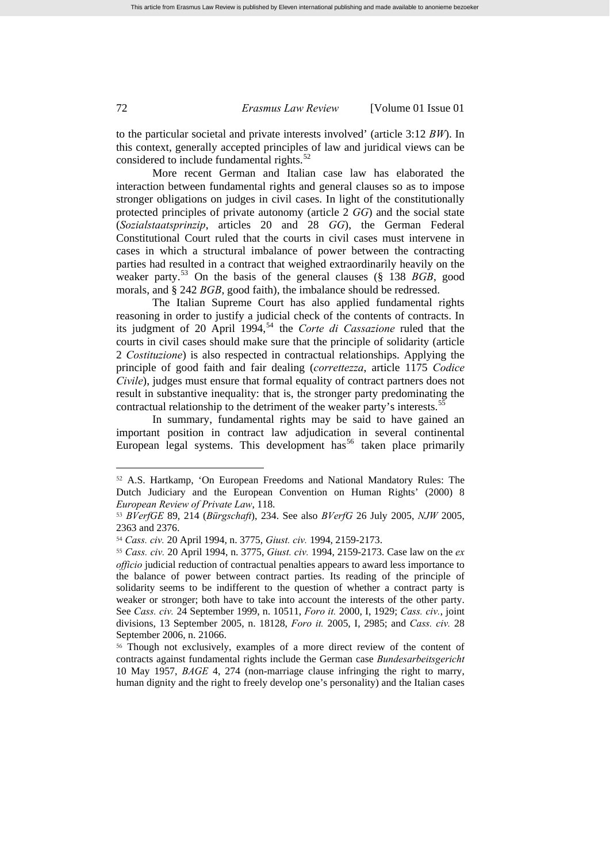to the particular societal and private interests involved' (article 3:12 *BW*). In this context, generally accepted principles of law and juridical views can be considered to include fundamental rights.<sup>[52](#page-13-0)</sup>

More recent German and Italian case law has elaborated the interaction between fundamental rights and general clauses so as to impose stronger obligations on judges in civil cases. In light of the constitutionally protected principles of private autonomy (article 2 *GG*) and the social state (*Sozialstaatsprinzip*, articles 20 and 28 *GG*), the German Federal Constitutional Court ruled that the courts in civil cases must intervene in cases in which a structural imbalance of power between the contracting parties had resulted in a contract that weighed extraordinarily heavily on the weaker party.[53](#page-13-1) On the basis of the general clauses (§ 138 *BGB*, good morals, and § 242 *BGB*, good faith), the imbalance should be redressed.

The Italian Supreme Court has also applied fundamental rights reasoning in order to justify a judicial check of the contents of contracts. In its judgment of 20 April 1994,<sup>[54](#page-13-2)</sup> the *Corte di Cassazione* ruled that the courts in civil cases should make sure that the principle of solidarity (article 2 *Costituzione*) is also respected in contractual relationships. Applying the principle of good faith and fair dealing (*correttezza*, article 1175 *Codice Civile*), judges must ensure that formal equality of contract partners does not result in substantive inequality: that is, the stronger party predominating the contractual relationship to the detriment of the weaker party's interests.<sup>5</sup>

In summary, fundamental rights may be said to have gained an important position in contract law adjudication in several continental European legal systems. This development has<sup>[56](#page-13-4)</sup> taken place primarily

<span id="page-13-4"></span><sup>56</sup> Though not exclusively, examples of a more direct review of the content of contracts against fundamental rights include the German case *Bundesarbeitsgericht* 10 May 1957, *BAGE* 4, 274 (non-marriage clause infringing the right to marry, human dignity and the right to freely develop one's personality) and the Italian cases

<span id="page-13-0"></span><sup>52</sup> A.S. Hartkamp, 'On European Freedoms and National Mandatory Rules: The Dutch Judiciary and the European Convention on Human Rights' (2000) 8 *European Review of Private Law*, 118.

<span id="page-13-1"></span><sup>53</sup> *BVerfGE* 89, 214 (*Bürgschaft*), 234. See also *BVerfG* 26 July 2005, *NJW* 2005, 2363 and 2376.

<span id="page-13-2"></span><sup>54</sup> *Cass. civ.* 20 April 1994, n. 3775, *Giust. civ.* 1994, 2159-2173.

<span id="page-13-3"></span><sup>55</sup> *Cass. civ.* 20 April 1994, n. 3775, *Giust. civ.* 1994, 2159-2173. Case law on the *ex officio* judicial reduction of contractual penalties appears to award less importance to the balance of power between contract parties. Its reading of the principle of solidarity seems to be indifferent to the question of whether a contract party is weaker or stronger; both have to take into account the interests of the other party. See *Cass. civ.* 24 September 1999, n. 10511, *Foro it.* 2000, I, 1929; *Cass. civ.*, joint divisions, 13 September 2005, n. 18128, *Foro it.* 2005, I, 2985; and *Cass. civ.* 28 September 2006, n. 21066.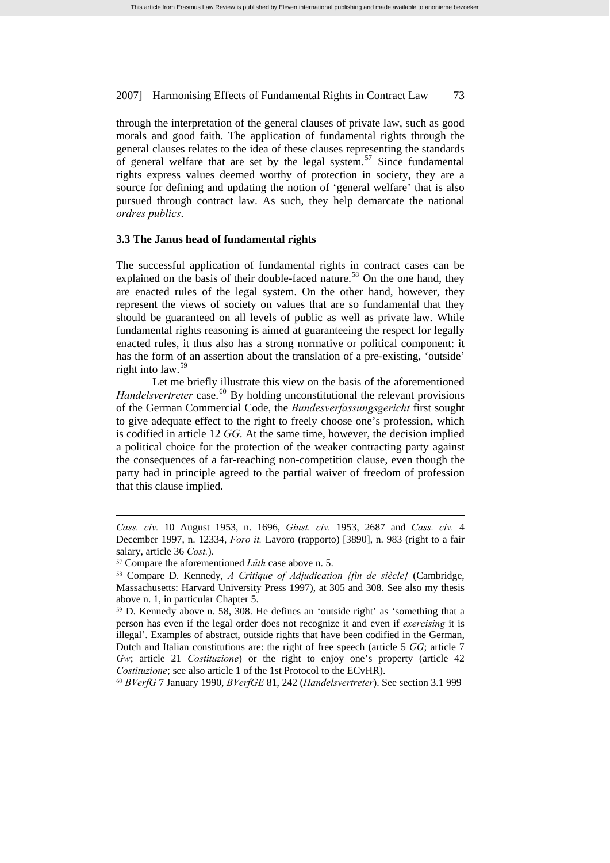through the interpretation of the general clauses of private law, such as good morals and good faith. The application of fundamental rights through the general clauses relates to the idea of these clauses representing the standards of general welfare that are set by the legal system.<sup>[57](#page-14-0)</sup> Since fundamental rights express values deemed worthy of protection in society, they are a source for defining and updating the notion of 'general welfare' that is also pursued through contract law. As such, they help demarcate the national *ordres publics*.

### **3.3 The Janus head of fundamental rights**

The successful application of fundamental rights in contract cases can be explained on the basis of their double-faced nature.<sup>[58](#page-14-1)</sup> On the one hand, they are enacted rules of the legal system. On the other hand, however, they represent the views of society on values that are so fundamental that they should be guaranteed on all levels of public as well as private law. While fundamental rights reasoning is aimed at guaranteeing the respect for legally enacted rules, it thus also has a strong normative or political component: it has the form of an assertion about the translation of a pre-existing, 'outside' right into law.[59](#page-14-2)

Let me briefly illustrate this view on the basis of the aforementioned *Handelsvertreter* case.<sup>[60](#page-14-3)</sup> By holding unconstitutional the relevant provisions of the German Commercial Code, the *Bundesverfassungsgericht* first sought to give adequate effect to the right to freely choose one's profession, which is codified in article 12 *GG*. At the same time, however, the decision implied a political choice for the protection of the weaker contracting party against the consequences of a far-reaching non-competition clause, even though the party had in principle agreed to the partial waiver of freedom of profession that this clause implied.

 $\overline{a}$ 

<span id="page-14-3"></span><sup>60</sup> *BVerfG* 7 January 1990, *BVerfGE* 81, 242 (*Handelsvertreter*). See section 3.1 999

*Cass. civ.* 10 August 1953, n. 1696, *Giust. civ.* 1953, 2687 and *Cass. civ.* 4 December 1997, n. 12334, *Foro it.* Lavoro (rapporto) [3890], n. 983 (right to a fair salary, article 36 *Cost.*).

<span id="page-14-0"></span><sup>57</sup> Compare the aforementioned *Lüth* case above n. 5.

<span id="page-14-1"></span><sup>58</sup> Compare D. Kennedy, *A Critique of Adjudication {fin de siècle}* (Cambridge, Massachusetts: Harvard University Press 1997), at 305 and 308. See also my thesis above n. 1, in particular Chapter 5.

<span id="page-14-2"></span><sup>59</sup> D. Kennedy above n. 58, 308. He defines an 'outside right' as 'something that a person has even if the legal order does not recognize it and even if *exercising* it is illegal'. Examples of abstract, outside rights that have been codified in the German, Dutch and Italian constitutions are: the right of free speech (article 5 *GG*; article 7 *Gw*; article 21 *Costituzione*) or the right to enjoy one's property (article 42 *Costituzione*; see also article 1 of the 1st Protocol to the ECvHR).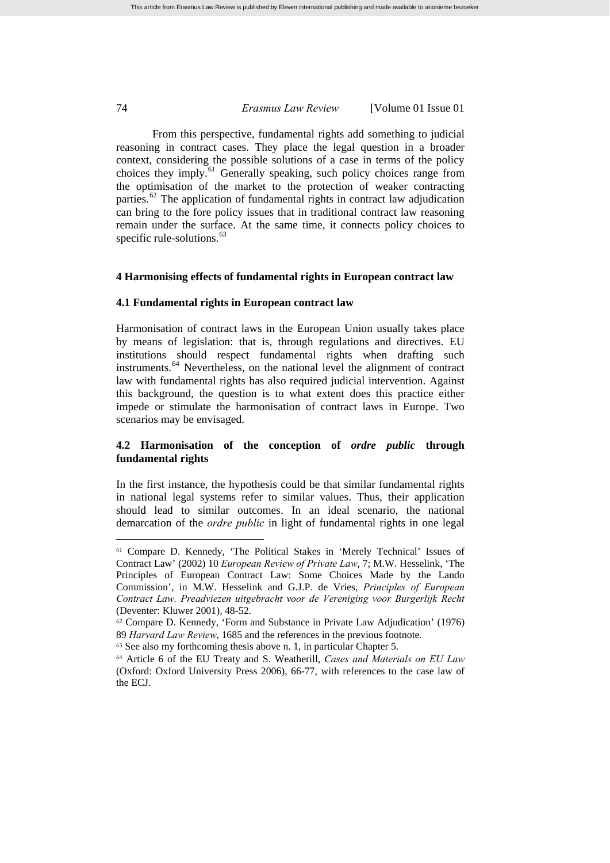From this perspective, fundamental rights add something to judicial reasoning in contract cases. They place the legal question in a broader context, considering the possible solutions of a case in terms of the policy choices they imply.<sup>[61](#page-15-0)</sup> Generally speaking, such policy choices range from the optimisation of the market to the protection of weaker contracting parties.<sup>[62](#page-15-1)</sup> The application of fundamental rights in contract law adjudication can bring to the fore policy issues that in traditional contract law reasoning remain under the surface. At the same time, it connects policy choices to specific rule-solutions.<sup>[63](#page-15-2)</sup>

# **4 Harmonising effects of fundamental rights in European contract law**

### **4.1 Fundamental rights in European contract law**

Harmonisation of contract laws in the European Union usually takes place by means of legislation: that is, through regulations and directives. EU institutions should respect fundamental rights when drafting such instruments.[64](#page-15-3) Nevertheless, on the national level the alignment of contract law with fundamental rights has also required judicial intervention. Against this background, the question is to what extent does this practice either impede or stimulate the harmonisation of contract laws in Europe. Two scenarios may be envisaged.

# **4.2 Harmonisation of the conception of** *ordre public* **through fundamental rights**

In the first instance, the hypothesis could be that similar fundamental rights in national legal systems refer to similar values. Thus, their application should lead to similar outcomes. In an ideal scenario, the national demarcation of the *ordre public* in light of fundamental rights in one legal

<span id="page-15-0"></span><sup>61</sup> Compare D. Kennedy, 'The Political Stakes in 'Merely Technical' Issues of Contract Law' (2002) 10 *European Review of Private Law*, 7; M.W. Hesselink, 'The Principles of European Contract Law: Some Choices Made by the Lando Commission', in M.W. Hesselink and G.J.P. de Vries, *Principles of European Contract Law. Preadviezen uitgebracht voor de Vereniging voor Burgerlijk Recht* (Deventer: Kluwer 2001), 48-52.

<span id="page-15-1"></span><sup>62</sup> Compare D. Kennedy, 'Form and Substance in Private Law Adjudication' (1976) 89 *Harvard Law Review*, 1685 and the references in the previous footnote.

<span id="page-15-2"></span><sup>63</sup> See also my forthcoming thesis above n. 1, in particular Chapter 5.

<span id="page-15-3"></span><sup>64</sup> Article 6 of the EU Treaty and S. Weatherill, *Cases and Materials on EU Law* (Oxford: Oxford University Press 2006), 66-77, with references to the case law of the ECJ.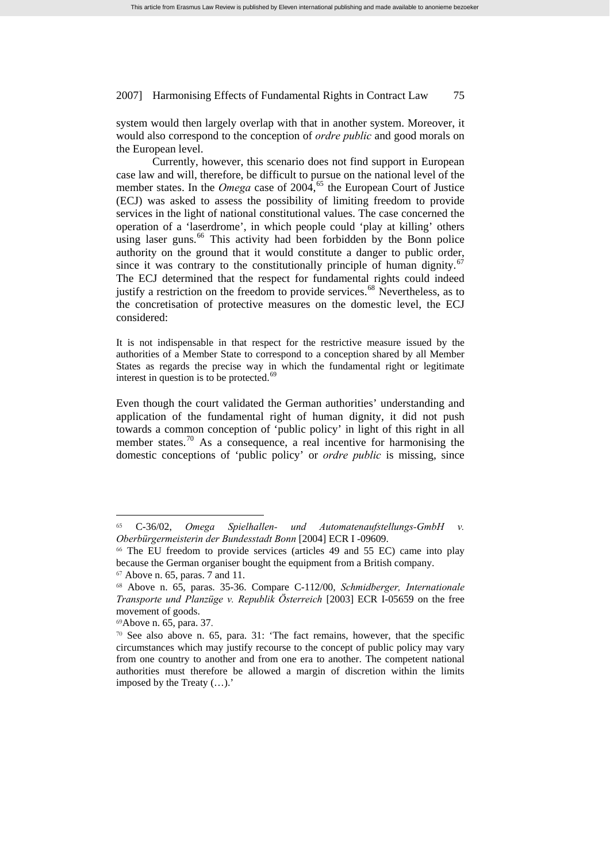system would then largely overlap with that in another system. Moreover, it would also correspond to the conception of *ordre public* and good morals on the European level.

Currently, however, this scenario does not find support in European case law and will, therefore, be difficult to pursue on the national level of the member states. In the *Omega* case of  $2004$ , <sup>[65](#page-16-0)</sup> the European Court of Justice (ECJ) was asked to assess the possibility of limiting freedom to provide services in the light of national constitutional values. The case concerned the operation of a 'laserdrome', in which people could 'play at killing' others using laser guns.<sup>[66](#page-16-1)</sup> This activity had been forbidden by the Bonn police authority on the ground that it would constitute a danger to public order, since it was contrary to the constitutionally principle of human dignity.<sup>[67](#page-16-2)</sup> The ECJ determined that the respect for fundamental rights could indeed justify a restriction on the freedom to provide services.<sup>[68](#page-16-3)</sup> Nevertheless, as to the concretisation of protective measures on the domestic level, the ECJ considered:

It is not indispensable in that respect for the restrictive measure issued by the authorities of a Member State to correspond to a conception shared by all Member States as regards the precise way in which the fundamental right or legitimate interest in question is to be protected.<sup>[69](#page-16-4)</sup>

Even though the court validated the German authorities' understanding and application of the fundamental right of human dignity, it did not push towards a common conception of 'public policy' in light of this right in all member states.<sup>[70](#page-16-5)</sup> As a consequence, a real incentive for harmonising the domestic conceptions of 'public policy' or *ordre public* is missing, since

<span id="page-16-0"></span><sup>65</sup> C-36/02, *Omega Spielhallen- und Automatenaufstellungs-GmbH v. Oberbürgermeisterin der Bundesstadt Bonn* [2004] ECR I -09609.

<span id="page-16-1"></span><sup>66</sup> The EU freedom to provide services (articles 49 and 55 EC) came into play because the German organiser bought the equipment from a British company.

<span id="page-16-2"></span><sup>67</sup> Above n. 65, paras. 7 and 11.

<span id="page-16-3"></span><sup>68</sup> Above n. 65, paras. 35-36. Compare C-112/00, *Schmidberger, Internationale Transporte und Planzüge v. Republik Österreich* [2003] ECR I-05659 on the free movement of goods.

<span id="page-16-5"></span><span id="page-16-4"></span><sup>&</sup>lt;sup>69</sup>Above n. 65, para. 37. **70** See also above n. 65, para. 31: 'The fact remains, however, that the specific circumstances which may justify recourse to the concept of public policy may vary from one country to another and from one era to another. The competent national authorities must therefore be allowed a margin of discretion within the limits imposed by the Treaty (…).'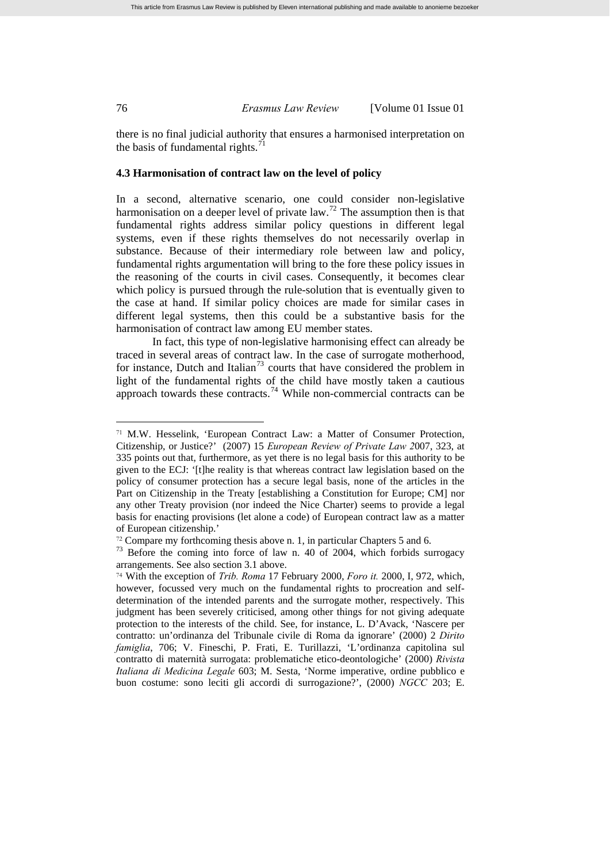there is no final judicial authority that ensures a harmonised interpretation on the basis of fundamental rights. $^{71}$  $^{71}$  $^{71}$ 

### **4.3 Harmonisation of contract law on the level of policy**

In a second, alternative scenario, one could consider non-legislative harmonisation on a deeper level of private law.<sup>[72](#page-17-1)</sup> The assumption then is that fundamental rights address similar policy questions in different legal systems, even if these rights themselves do not necessarily overlap in substance. Because of their intermediary role between law and policy, fundamental rights argumentation will bring to the fore these policy issues in the reasoning of the courts in civil cases. Consequently, it becomes clear which policy is pursued through the rule-solution that is eventually given to the case at hand. If similar policy choices are made for similar cases in different legal systems, then this could be a substantive basis for the harmonisation of contract law among EU member states.

In fact, this type of non-legislative harmonising effect can already be traced in several areas of contract law. In the case of surrogate motherhood, for instance, Dutch and Italian<sup>[73](#page-17-2)</sup> courts that have considered the problem in light of the fundamental rights of the child have mostly taken a cautious approach towards these contracts.<sup>[74](#page-17-3)</sup> While non-commercial contracts can be

<span id="page-17-0"></span><sup>71</sup> M.W. Hesselink, 'European Contract Law: a Matter of Consumer Protection, Citizenship, or Justice?' (2007) 15 *European Review of Private Law 2*007, 323, at 335 points out that, furthermore, as yet there is no legal basis for this authority to be given to the ECJ: '[t]he reality is that whereas contract law legislation based on the policy of consumer protection has a secure legal basis, none of the articles in the Part on Citizenship in the Treaty [establishing a Constitution for Europe; CM] nor any other Treaty provision (nor indeed the Nice Charter) seems to provide a legal basis for enacting provisions (let alone a code) of European contract law as a matter of European citizenship.'

<span id="page-17-2"></span><span id="page-17-1"></span><sup>&</sup>lt;sup>72</sup> Compare my forthcoming thesis above n. 1, in particular Chapters 5 and 6.<br><sup>73</sup> Before the coming into force of law n. 40 of 2004, which forbids surrogacy arrangements. See also section 3.1 above.

<span id="page-17-3"></span><sup>74</sup> With the exception of *Trib. Roma* 17 February 2000, *Foro it.* 2000, I, 972, which, however, focussed very much on the fundamental rights to procreation and selfdetermination of the intended parents and the surrogate mother, respectively. This judgment has been severely criticised, among other things for not giving adequate protection to the interests of the child. See, for instance, L. D'Avack, 'Nascere per contratto: un'ordinanza del Tribunale civile di Roma da ignorare' (2000) 2 *Dirito famiglia*, 706; V. Fineschi, P. Frati, E. Turillazzi, 'L'ordinanza capitolina sul contratto di maternità surrogata: problematiche etico-deontologiche' (2000) *Rivista Italiana di Medicina Legale* 603; M. Sesta, 'Norme imperative, ordine pubblico e buon costume: sono leciti gli accordi di surrogazione?', (2000) *NGCC* 203; E.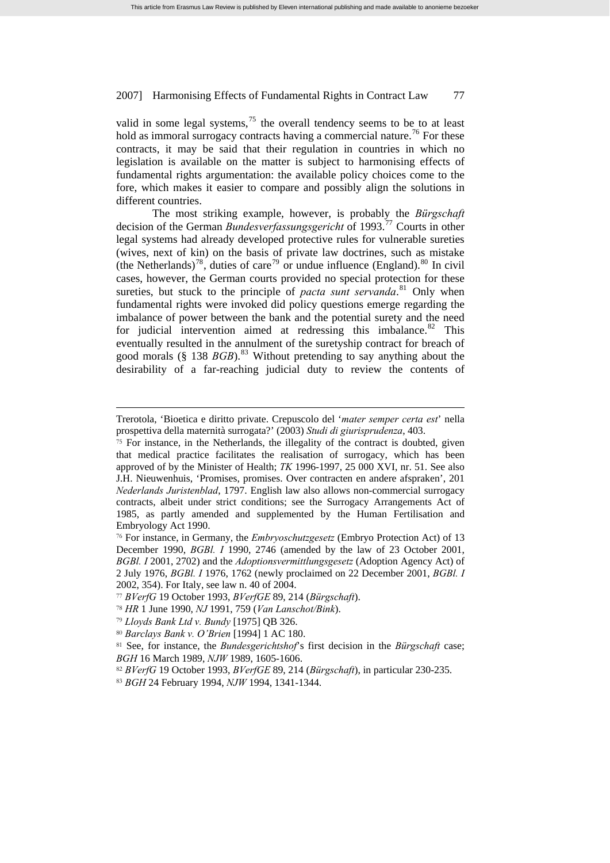valid in some legal systems,  $^{75}$  $^{75}$  $^{75}$  the overall tendency seems to be to at least hold as immoral surrogacy contracts having a commercial nature.<sup>[76](#page-18-1)</sup> For these contracts, it may be said that their regulation in countries in which no legislation is available on the matter is subject to harmonising effects of fundamental rights argumentation: the available policy choices come to the fore, which makes it easier to compare and possibly align the solutions in different countries.

The most striking example, however, is probably the *Bürgschaft* decision of the German *Bundesverfassungsgericht* of 1993.[77](#page-18-2) Courts in other legal systems had already developed protective rules for vulnerable sureties (wives, next of kin) on the basis of private law doctrines, such as mistake (the Netherlands)<sup>[78](#page-18-3)</sup>, duties of care<sup>[79](#page-18-4)</sup> or undue influence (England).<sup>[80](#page-18-5)</sup> In civil cases, however, the German courts provided no special protection for these sureties, but stuck to the principle of *pacta sunt servanda*.<sup>[81](#page-18-6)</sup> Only when fundamental rights were invoked did policy questions emerge regarding the imbalance of power between the bank and the potential surety and the need for judicial intervention aimed at redressing this imbalance. $82$  This eventually resulted in the annulment of the suretyship contract for breach of good morals (§ 138 *BGB*).<sup>[83](#page-18-8)</sup> Without pretending to say anything about the desirability of a far-reaching judicial duty to review the contents of

Trerotola, 'Bioetica e diritto private. Crepuscolo del '*mater semper certa est*' nella prospettiva della maternità surrogata?' (2003) *Studi di giurisprudenza*, 403.

<span id="page-18-0"></span><sup>75</sup> For instance, in the Netherlands, the illegality of the contract is doubted, given that medical practice facilitates the realisation of surrogacy, which has been approved of by the Minister of Health; *TK* 1996-1997, 25 000 XVI, nr. 51. See also J.H. Nieuwenhuis, 'Promises, promises. Over contracten en andere afspraken', 201 *Nederlands Juristenblad*, 1797. English law also allows non-commercial surrogacy contracts, albeit under strict conditions; see the Surrogacy Arrangements Act of 1985, as partly amended and supplemented by the Human Fertilisation and Embryology Act 1990.

<span id="page-18-1"></span><sup>76</sup> For instance, in Germany, the *Embryoschutzgesetz* (Embryo Protection Act) of 13 December 1990, *BGBl. I* 1990, 2746 (amended by the law of 23 October 2001, *BGBl. I* 2001, 2702) and the *Adoptionsvermittlungsgesetz* (Adoption Agency Act) of 2 July 1976, *BGBl. I* 1976, 1762 (newly proclaimed on 22 December 2001, *BGBl. I* 2002, 354). For Italy, see law n. 40 of 2004.

<span id="page-18-2"></span><sup>77</sup> *BVerfG* 19 October 1993, *BVerfGE* 89, 214 (*Bürgschaft*).

<span id="page-18-3"></span><sup>78</sup> *HR* 1 June 1990, *NJ* 1991, 759 (*Van Lanschot/Bink*).

<span id="page-18-4"></span><sup>79</sup> *Lloyds Bank Ltd v. Bundy* [1975] QB 326.

<sup>80</sup> *Barclays Bank v. O'Brien* [1994] 1 AC 180.

<span id="page-18-6"></span><span id="page-18-5"></span><sup>81</sup> See, for instance, the *Bundesgerichtshof*'s first decision in the *Bürgschaft* case; *BGH* 16 March 1989, *NJW* 1989, 1605-1606.

<span id="page-18-7"></span><sup>82</sup> *BVerfG* 19 October 1993, *BVerfGE* 89, 214 (*Bürgschaft*), in particular 230-235.

<span id="page-18-8"></span><sup>83</sup> *BGH* 24 February 1994, *NJW* 1994, 1341-1344.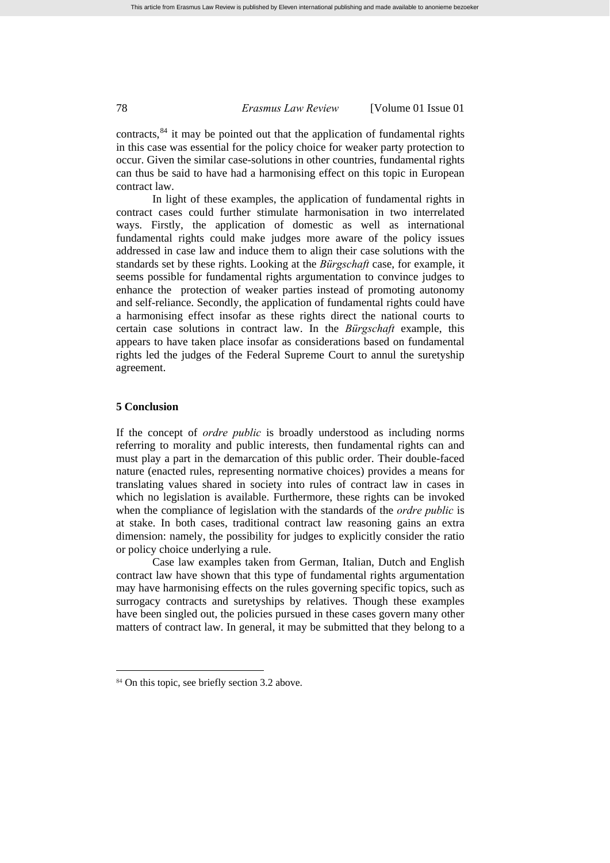contracts, $84$  it may be pointed out that the application of fundamental rights in this case was essential for the policy choice for weaker party protection to occur. Given the similar case-solutions in other countries, fundamental rights can thus be said to have had a harmonising effect on this topic in European contract law.

In light of these examples, the application of fundamental rights in contract cases could further stimulate harmonisation in two interrelated ways. Firstly, the application of domestic as well as international fundamental rights could make judges more aware of the policy issues addressed in case law and induce them to align their case solutions with the standards set by these rights. Looking at the *Bürgschaft* case, for example, it seems possible for fundamental rights argumentation to convince judges to enhance the protection of weaker parties instead of promoting autonomy and self-reliance. Secondly, the application of fundamental rights could have a harmonising effect insofar as these rights direct the national courts to certain case solutions in contract law. In the *Bürgschaft* example, this appears to have taken place insofar as considerations based on fundamental rights led the judges of the Federal Supreme Court to annul the suretyship agreement.

### **5 Conclusion**

 $\overline{a}$ 

If the concept of *ordre public* is broadly understood as including norms referring to morality and public interests, then fundamental rights can and must play a part in the demarcation of this public order. Their double-faced nature (enacted rules, representing normative choices) provides a means for translating values shared in society into rules of contract law in cases in which no legislation is available. Furthermore, these rights can be invoked when the compliance of legislation with the standards of the *ordre public* is at stake. In both cases, traditional contract law reasoning gains an extra dimension: namely, the possibility for judges to explicitly consider the ratio or policy choice underlying a rule.

Case law examples taken from German, Italian, Dutch and English contract law have shown that this type of fundamental rights argumentation may have harmonising effects on the rules governing specific topics, such as surrogacy contracts and suretyships by relatives. Though these examples have been singled out, the policies pursued in these cases govern many other matters of contract law. In general, it may be submitted that they belong to a

<span id="page-19-0"></span><sup>&</sup>lt;sup>84</sup> On this topic, see briefly section 3.2 above.